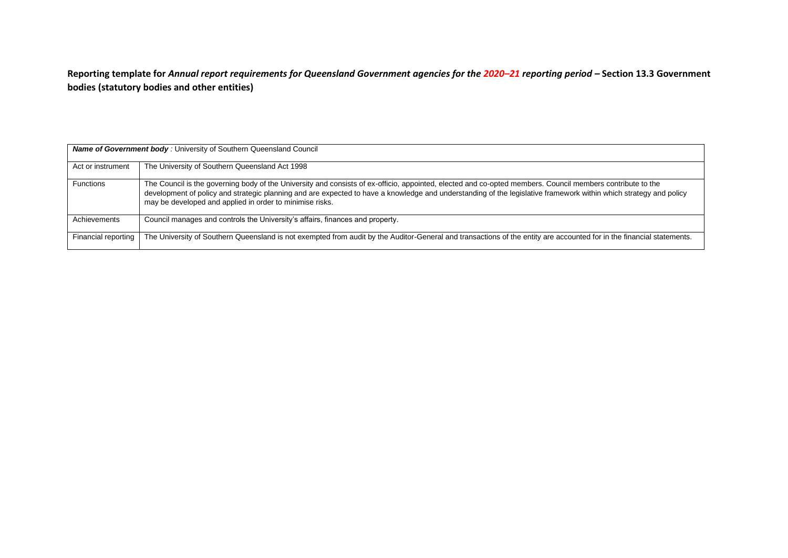**Reporting template for** *Annual report requirements for Queensland Government agencies for the 2020–21 reporting period –* **Section 13.3 Government bodies (statutory bodies and other entities)**

| <b>Name of Government body: University of Southern Queensland Council</b> |                                                                                                                                                                                                                                                                                                                                                                                             |  |  |
|---------------------------------------------------------------------------|---------------------------------------------------------------------------------------------------------------------------------------------------------------------------------------------------------------------------------------------------------------------------------------------------------------------------------------------------------------------------------------------|--|--|
| Act or instrument                                                         | The University of Southern Queensland Act 1998                                                                                                                                                                                                                                                                                                                                              |  |  |
| <b>Functions</b>                                                          | The Council is the governing body of the University and consists of ex-officio, appointed, elected and co-opted members. Council members contribute to the<br>development of policy and strategic planning and are expected to have a knowledge and understanding of the legislative framework within which strategy and policy<br>may be developed and applied in order to minimise risks. |  |  |
| Achievements                                                              | Council manages and controls the University's affairs, finances and property.                                                                                                                                                                                                                                                                                                               |  |  |
| Financial reporting                                                       | The University of Southern Queensland is not exempted from audit by the Auditor-General and transactions of the entity are accounted for in the financial statements.                                                                                                                                                                                                                       |  |  |